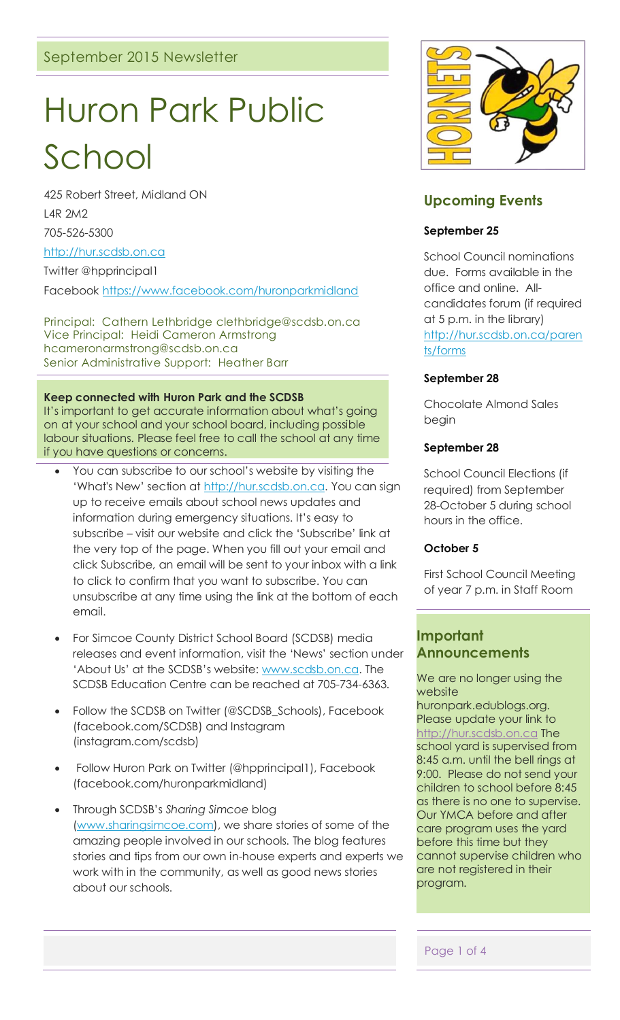# Huron Park Public

# School

425 Robert Street, Midland ON L4R 2M2 705-526-5300

#### [http://hur.scdsb.on.ca](http://hur.scdsb.on.ca/)

Twitter @hpprincipal1

Facebook<https://www.facebook.com/huronparkmidland>

Principal: Cathern Lethbridge clethbridge@scdsb.on.ca Vice Principal: Heidi Cameron Armstrong hcameronarmstrong@scdsb.on.ca Senior Administrative Support: Heather Barr

#### **Keep connected with Huron Park and the SCDSB**

It's important to get accurate information about what's going on at your school and your school board, including possible labour situations. Please feel free to call the school at any time if you have questions or concerns.

- You can subscribe to our school's website by visiting the 'What's New' section at [http://hur.scdsb.on.ca.](http://hur.scdsb.on.ca/) You can sign up to receive emails about school news updates and information during emergency situations. It's easy to subscribe – visit our website and click the 'Subscribe' link at the very top of the page. When you fill out your email and click Subscribe, an email will be sent to your inbox with a link to click to confirm that you want to subscribe. You can unsubscribe at any time using the link at the bottom of each email.
- For Simcoe County District School Board (SCDSB) media releases and event information, visit the 'News' section under 'About Us' at the SCDSB's website: [www.scdsb.on.ca.](http://www.scdsb.on.ca/) The SCDSB Education Centre can be reached at 705-734-6363.
- Follow the SCDSB on Twitter (@SCDSB\_Schools), Facebook (facebook.com/SCDSB) and Instagram (instagram.com/scdsb)
- Follow Huron Park on Twitter (@hpprincipal1), Facebook (facebook.com/huronparkmidland)
- Through SCDSB's *Sharing Simcoe* blog [\(www.sharingsimcoe.com\)](http://www.sharingsimcoe.com/), we share stories of some of the amazing people involved in our schools. The blog features stories and tips from our own in-house experts and experts we work with in the community, as well as good news stories about our schools.



# **Upcoming Events**

#### **September 25**

School Council nominations due. Forms available in the office and online. Allcandidates forum (if required at 5 p.m. in the library) [http://hur.scdsb.on.ca/paren](http://hur.scdsb.on.ca/parents/forms) [ts/forms](http://hur.scdsb.on.ca/parents/forms)

#### **September 28**

Chocolate Almond Sales begin

#### **September 28**

School Council Elections (if required) from September 28-October 5 during school hours in the office.

#### **October 5**

First School Council Meeting of year 7 p.m. in Staff Room

# **Important Announcements**

We are no longer using the website

huronpark.edublogs.org. Please update your link to [http://hur.scdsb.on.ca](http://hur.scdsb.on.ca/) The school yard is supervised from 8:45 a.m. until the bell rings at 9:00. Please do not send your children to school before 8:45 as there is no one to supervise. Our YMCA before and after care program uses the yard before this time but they cannot supervise children who are not registered in their program.

Page 1 of 4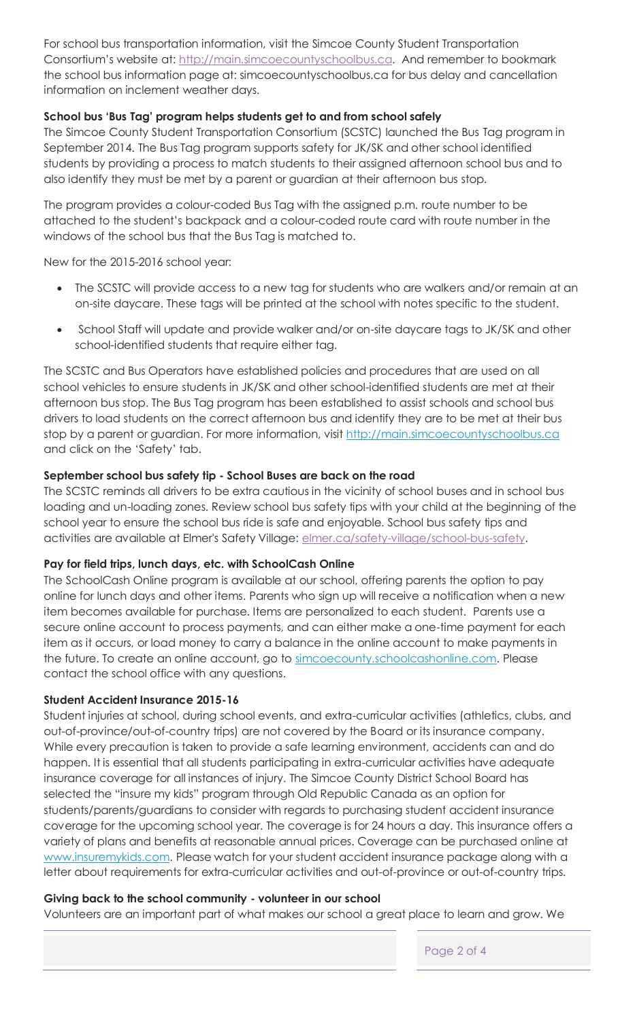For school bus transportation information, visit the Simcoe County Student Transportation Consortium's website at: [http://main.simcoecountyschoolbus.ca.](http://main.simcoecountyschoolbus.ca/) And remember to bookmark the school bus information page at: simcoecountyschoolbus.ca for bus delay and cancellation information on inclement weather days.

# **School bus 'Bus Tag' program helps students get to and from school safely**

The Simcoe County Student Transportation Consortium (SCSTC) launched the Bus Tag program in September 2014. The Bus Tag program supports safety for JK/SK and other school identified students by providing a process to match students to their assigned afternoon school bus and to also identify they must be met by a parent or guardian at their afternoon bus stop.

The program provides a colour-coded Bus Tag with the assigned p.m. route number to be attached to the student's backpack and a colour-coded route card with route number in the windows of the school bus that the Bus Tag is matched to.

New for the 2015-2016 school year:

- The SCSTC will provide access to a new tag for students who are walkers and/or remain at an on-site daycare. These tags will be printed at the school with notes specific to the student.
- School Staff will update and provide walker and/or on-site daycare tags to JK/SK and other school-identified students that require either tag.

The SCSTC and Bus Operators have established policies and procedures that are used on all school vehicles to ensure students in JK/SK and other school-identified students are met at their afternoon bus stop. The Bus Tag program has been established to assist schools and school bus drivers to load students on the correct afternoon bus and identify they are to be met at their bus stop by a parent or guardian. For more information, visit [http://main.simcoecountyschoolbus.ca](http://main.simcoecountyschoolbus.ca/) and click on the 'Safety' tab.

# **September school bus safety tip - School Buses are back on the road**

The SCSTC reminds all drivers to be extra cautious in the vicinity of school buses and in school bus loading and un-loading zones. Review school bus safety tips with your child at the beginning of the school year to ensure the school bus ride is safe and enjoyable. School bus safety tips and activities are available at Elmer's Safety Village: [elmer.ca/safety-village/school-bus-safety.](http://elmer.ca/safety-village/school-bus-safety)

# **Pay for field trips, lunch days, etc. with SchoolCash Online**

The SchoolCash Online program is available at our school, offering parents the option to pay online for lunch days and other items. Parents who sign up will receive a notification when a new item becomes available for purchase. Items are personalized to each student. Parents use a secure online account to process payments, and can either make a one-time payment for each item as it occurs, or load money to carry a balance in the online account to make payments in the future. To create an online account, go to [simcoecounty.schoolcashonline.com.](https://simcoecounty.schoolcashonline.com/) Please contact the school office with any questions.

# **Student Accident Insurance 2015-16**

Student injuries at school, during school events, and extra-curricular activities (athletics, clubs, and out-of-province/out-of-country trips) are not covered by the Board or its insurance company. While every precaution is taken to provide a safe learning environment, accidents can and do happen. It is essential that all students participating in extra-curricular activities have adequate insurance coverage for all instances of injury. The Simcoe County District School Board has selected the "insure my kids" program through Old Republic Canada as an option for students/parents/guardians to consider with regards to purchasing student accident insurance coverage for the upcoming school year. The coverage is for 24 hours a day. This insurance offers a variety of plans and benefits at reasonable annual prices. Coverage can be purchased online at [www.insuremykids.com.](http://www.insuremykids.com/) Please watch for your student accident insurance package along with a letter about requirements for extra-curricular activities and out-of-province or out-of-country trips.

# **Giving back to the school community - volunteer in our school**

Volunteers are an important part of what makes our school a great place to learn and grow. We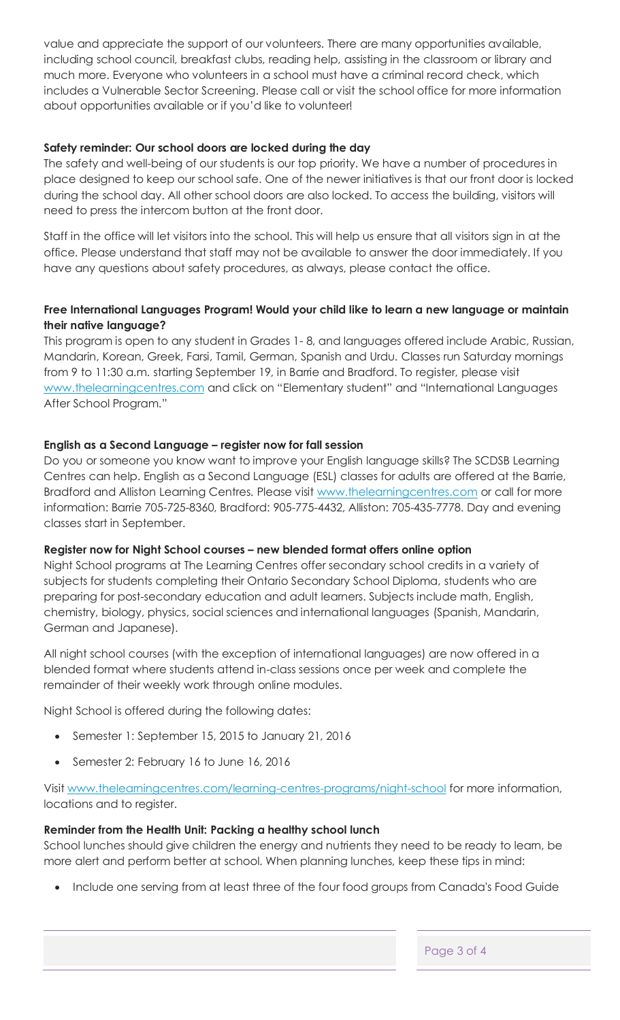value and appreciate the support of our volunteers. There are many opportunities available, including school council, breakfast clubs, reading help, assisting in the classroom or library and much more. Everyone who volunteers in a school must have a criminal record check, which includes a Vulnerable Sector Screening. Please call or visit the school office for more information about opportunities available or if you'd like to volunteer!

#### **Safety reminder: Our school doors are locked during the day**

The safety and well-being of our students is our top priority. We have a number of procedures in place designed to keep our school safe. One of the newer initiatives is that our front door is locked during the school day. All other school doors are also locked. To access the building, visitors will need to press the intercom button at the front door.

Staff in the office will let visitors into the school. This will help us ensure that all visitors sign in at the office. Please understand that staff may not be available to answer the door immediately. If you have any questions about safety procedures, as always, please contact the office.

#### **Free International Languages Program! Would your child like to learn a new language or maintain their native language?**

This program is open to any student in Grades 1- 8, and languages offered include Arabic, Russian, Mandarin, Korean, Greek, Farsi, Tamil, German, Spanish and Urdu. Classes run Saturday mornings from 9 to 11:30 a.m. starting September 19, in Barrie and Bradford. To register, please visit [www.thelearningcentres.com](http://www.thelearningcentres.com/) and click on "Elementary student" and "International Languages After School Program."

#### **English as a Second Language – register now for fall session**

Do you or someone you know want to improve your English language skills? The SCDSB Learning Centres can help. English as a Second Language (ESL) classes for adults are offered at the Barrie, Bradford and Alliston Learning Centres. Please visit [www.thelearningcentres.com](http://www.thelearningcentres.com/) or call for more information: Barrie 705-725-8360, Bradford: 905-775-4432, Alliston: 705-435-7778. Day and evening classes start in September.

#### **Register now for Night School courses – new blended format offers online option**

Night School programs at The Learning Centres offer secondary school credits in a variety of subjects for students completing their Ontario Secondary School Diploma, students who are preparing for post-secondary education and adult learners. Subjects include math, English, chemistry, biology, physics, social sciences and international languages (Spanish, Mandarin, German and Japanese).

All night school courses (with the exception of international languages) are now offered in a blended format where students attend in-class sessions once per week and complete the remainder of their weekly work through online modules.

Night School is offered during the following dates:

- Semester 1: September 15, 2015 to January 21, 2016
- Semester 2: February 16 to June 16, 2016

Visit [www.thelearningcentres.com/learning-centres-programs/night-school](http://www.thelearningcentres.com/learning-centres-programs/night-school) for more information, locations and to register.

# **Reminder from the Health Unit: Packing a healthy school lunch**

School lunches should give children the energy and nutrients they need to be ready to learn, be more alert and perform better at school. When planning lunches, keep these tips in mind:

Include one serving from at least three of the four food groups from Canada's Food Guide